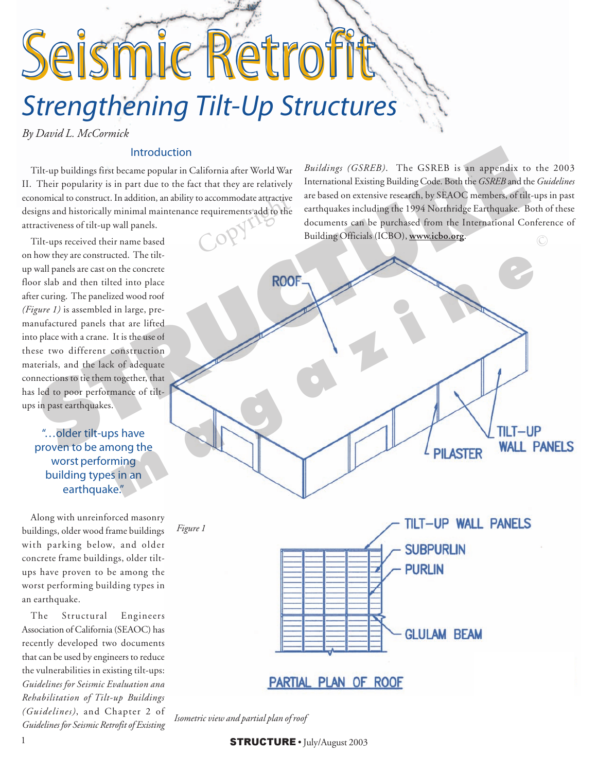# Strengthening Tilt-Up Structures Seismic Retro

*By David L. McCormick*

#### Introduction

Tilt-up buildings first became popular in California after World War II. Their popularity is in part due to the fact that they are relatively economical to construct. In addition, an ability to accommodate attractive designs and historically minimal maintenance requirements add to the attractiveness of tilt-up wall panels. to accommodate attractive<br>e requirements add to the<br>c

Tilt-ups received their name based on how they are constructed. The tiltup wall panels are cast on the concrete floor slab and then tilted into place after curing. The panelized wood roof *(Figure 1)* is assembled in large, premanufactured panels that are lifted into place with a crane. It is the use of these two different construction materials, and the lack of adequate connections to tie them together, that has led to poor performance of tiltups in past earthquakes.

"…older tilt-ups have proven to be among the worst performing building types in an earthquake."

Along with unreinforced masonry buildings, older wood frame buildings with parking below, and older concrete frame buildings, older tiltups have proven to be among the worst performing building types in an earthquake.

The Structural Engineers Association of California (SEAOC) has recently developed two documents that can be used by engineers to reduce the vulnerabilities in existing tilt-ups: *Guidelines for Seismic Evaluation and Rehabilitation of Tilt-up Buildings (Guidelines)*, and Chapter 2 of *Guidelines for Seismic Retrofit of Existing*

*Buildings (GSREB)*. The GSREB is an appendix to the 2003 International Existing Building Code. Both the *GSREB* and the *Guidelines* are based on extensive research, by SEAOC members, of tilt-ups in past earthquakes including the 1994 Northridge Earthquake. Both of these documents can be purchased from the International Conference of Building Officials (ICBO), **www.icbo.org**.



*Isometric view and partial plan of roof*

1  $\text{STRUCTURE} \cdot \text{July/August } 2003$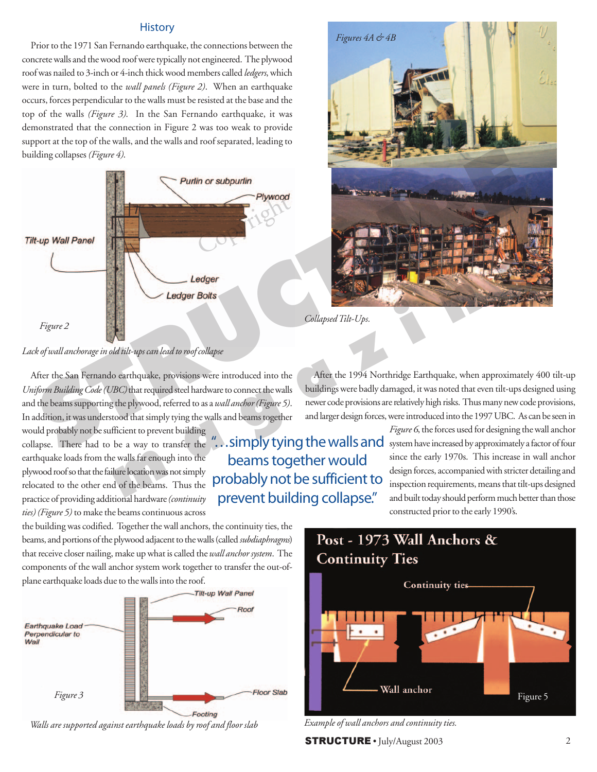#### **History**

Prior to the 1971 San Fernando earthquake, the connections between the concrete walls and the wood roof were typically not engineered. The plywood roof was nailed to 3-inch or 4-inch thick wood members called *ledgers*, which were in turn, bolted to the *wall panels (Figure 2)*. When an earthquake occurs, forces perpendicular to the walls must be resisted at the base and the top of the walls *(Figure 3)*. In the San Fernando earthquake, it was demonstrated that the connection in Figure 2 was too weak to provide support at the top of the walls, and the walls and roof separated, leading to building collapses *(Figure 4)*.



*Lack of wall anchorage in old tilt-ups can lead to roof collapse*

After the San Fernando earthquake, provisions were introduced into the *Uniform Building Code (UBC)* that required steel hardware to connect the walls and the beams supporting the plywood, referred to as a *wall anchor (Figure 5)*. In addition, it was understood that simply tying the walls and beams together

would probably not be sufficient to prevent building collapse. There had to be a way to transfer the earthquake loads from the walls far enough into the plywood roof so that the failure location was not simply relocated to the other end of the beams. Thus the practice of providing additional hardware *(continuity ties) (Figure 5)* to make the beams continuous across

the building was codified. Together the wall anchors, the continuity ties, the beams, and portions of the plywood adjacent to the walls (called *subdiaphragms*) that receive closer nailing, make up what is called the *wall anchor system*. The components of the wall anchor system work together to transfer the out-ofplane earthquake loads due to the walls into the roof.



*Walls are supported against earthquake loads by roof and floor slab*



*Collapsed Tilt-Ups.*

After the 1994 Northridge Earthquake, when approximately 400 tilt-up buildings were badly damaged, it was noted that even tilt-ups designed using newer code provisions are relatively high risks. Thus many new code provisions, and larger design forces, were introduced into the 1997 UBC. As can be seen in

.. simply tying the walls and beams together would probably not be sufficient to prevent building collapse."

*Figure 6*, the forces used for designing the wall anchor system have increased by approximately a factor of four since the early 1970s. This increase in wall anchor design forces, accompanied with stricter detailing and inspection requirements, means that tilt-ups designed and built today should perform much better than those constructed prior to the early 1990's.



*Example of wall anchors and continuity ties.*

 $STRUCTURE · July/August 2003$  2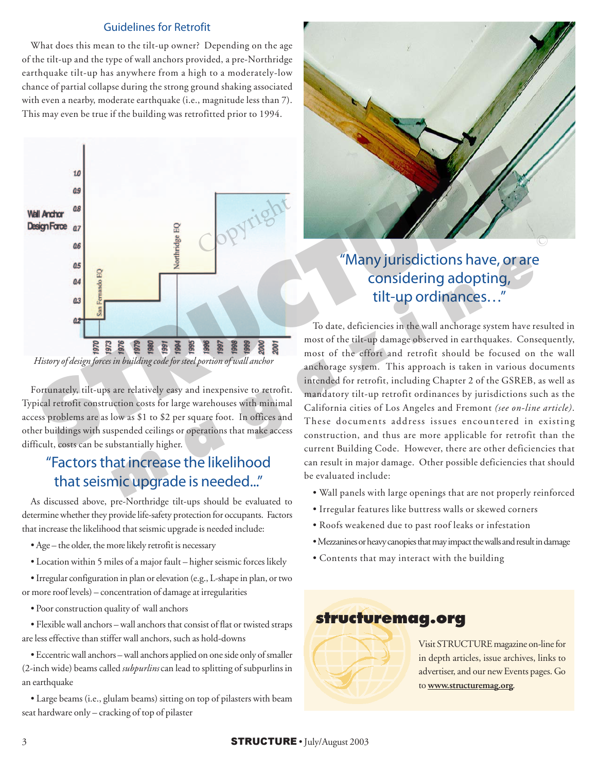### Guidelines for Retrofit

What does this mean to the tilt-up owner? Depending on the age of the tilt-up and the type of wall anchors provided, a pre-Northridge earthquake tilt-up has anywhere from a high to a moderately-low chance of partial collapse during the strong ground shaking associated with even a nearby, moderate earthquake (i.e., magnitude less than 7). This may even be true if the building was retrofitted prior to 1994.



*History of design forces in building code for steel portion of wall anchor*

Fortunately, tilt-ups are relatively easy and inexpensive to retrofit. Typical retrofit construction costs for large warehouses with minimal access problems are as low as \$1 to \$2 per square foot. In offices and other buildings with suspended ceilings or operations that make access difficult, costs can be substantially higher.

## "Factors that increase the likelihood that seismic upgrade is needed..."

As discussed above, pre-Northridge tilt-ups should be evaluated to determine whether they provide life-safety protection for occupants. Factors that increase the likelihood that seismic upgrade is needed include:

- Age the older, the more likely retrofit is necessary
- Location within 5 miles of a major fault higher seismic forces likely
- Irregular configuration in plan or elevation (e.g., L-shape in plan, or two or more roof levels) – concentration of damage at irregularities
	- Poor construction quality of wall anchors
- Flexible wall anchors wall anchors that consist of flat or twisted straps are less effective than stiffer wall anchors, such as hold-downs
- Eccentric wall anchors wall anchors applied on one side only of smaller (2-inch wide) beams called *subpurlins* can lead to splitting of subpurlins in an earthquake

• Large beams (i.e., glulam beams) sitting on top of pilasters with beam seat hardware only – cracking of top of pilaster



## "Many jurisdictions have, or are considering adopting, tilt-up ordinances…"

To date, deficiencies in the wall anchorage system have resulted in most of the tilt-up damage observed in earthquakes. Consequently, most of the effort and retrofit should be focused on the wall anchorage system. This approach is taken in various documents intended for retrofit, including Chapter 2 of the GSREB, as well as mandatory tilt-up retrofit ordinances by jurisdictions such as the California cities of Los Angeles and Fremont *(see on-line article)*. These documents address issues encountered in existing construction, and thus are more applicable for retrofit than the current Building Code. However, there are other deficiencies that can result in major damage. Other possible deficiencies that should be evaluated include: **EXECUTE:**<br> **EXECUTE:**<br> **EXECUTE:**<br>
To date, deficiencies in the wall anchorage system have results<br>
To date, deficiencies in the wall anchorage system have results<br>
To date, deficiencies in the wall anchorage system have

- Wall panels with large openings that are not properly reinforced
- Irregular features like buttress walls or skewed corners
- Roofs weakened due to past roof leaks or infestation
- Mezzanines or heavy canopies that may impact the walls and result in damage
- Contents that may interact with the building



Visit STRUCTURE magazine on-line for in depth articles, issue archives, links to advertiser, and our new Events pages. Go to **www.structuremag.org**.